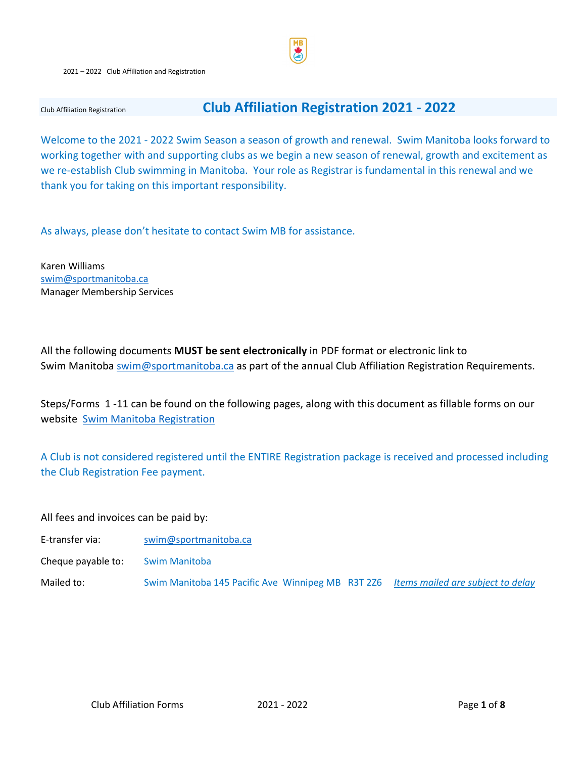#### 2021 – 2022 Club Affiliation and Registration

## Club Affiliation Registration **Club Affiliation Registration 2021 - 2022**

Welcome to the 2021 - 2022 Swim Season a season of growth and renewal. Swim Manitoba looks forward to working together with and supporting clubs as we begin a new season of renewal, growth and excitement as we re-establish Club swimming in Manitoba. Your role as Registrar is fundamental in this renewal and we thank you for taking on this important responsibility.

As always, please don't hesitate to contact Swim MB for assistance.

Karen Williams [swim@sportmanitoba.ca](mailto:swim@sportmanitoba.ca)  Manager Membership Services

All the following documents **MUST be sent electronically** in PDF format or electronic link to Swim Manitoba [swim@sportmanitoba.ca](mailto:swim@sportmanitoba.ca) as part of the annual Club Affiliation Registration Requirements.

Steps/Forms 1 -11 can be found on the following pages, along with this document as fillable forms on our website [Swim Manitoba Registration](https://www.swimmanitoba.mb.ca/clubs)

A Club is not considered registered until the ENTIRE Registration package is received and processed including the Club Registration Fee payment.

#### All fees and invoices can be paid by:

- E-transfer via: swim@sportmanitoba.ca
- Cheque payable to: Swim Manitoba

Mailed to: Swim Manitoba 145 Pacific Ave Winnipeg MB R3T 2Z6 *Items mailed are subject to delay*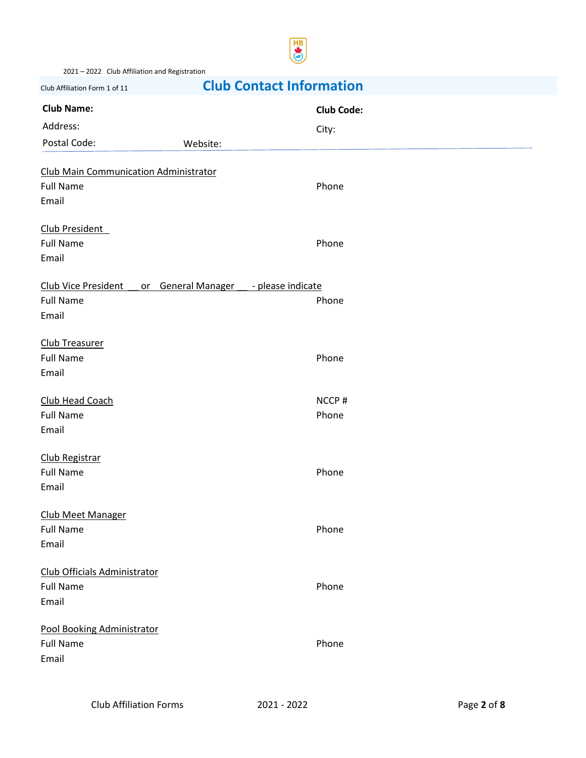

2021 – 2022 Club Affiliation and Registration

# Club Affiliation Form 1 of 11 **Club Contact Information**

| <b>Club Name:</b>                                              | <b>Club Code:</b> |
|----------------------------------------------------------------|-------------------|
| Address:                                                       | City:             |
| Postal Code:<br>Website:                                       |                   |
| <b>Club Main Communication Administrator</b>                   |                   |
| <b>Full Name</b>                                               | Phone             |
| Email                                                          |                   |
| Club President                                                 |                   |
| <b>Full Name</b>                                               | Phone             |
| Email                                                          |                   |
| Club Vice President<br>or General Manager<br>- please indicate |                   |
| <b>Full Name</b>                                               | Phone             |
| Email                                                          |                   |
| <b>Club Treasurer</b>                                          |                   |
| <b>Full Name</b>                                               | Phone             |
| Email                                                          |                   |
| Club Head Coach                                                | NCCP#             |
| <b>Full Name</b>                                               | Phone             |
| Email                                                          |                   |
| Club Registrar                                                 |                   |
| <b>Full Name</b>                                               | Phone             |
| Email                                                          |                   |
| <b>Club Meet Manager</b>                                       |                   |
| <b>Full Name</b>                                               | Phone             |
| Email                                                          |                   |
| Club Officials Administrator                                   |                   |
| <b>Full Name</b>                                               | Phone             |
| Email                                                          |                   |
| Pool Booking Administrator                                     |                   |
| <b>Full Name</b>                                               | Phone             |
| Email                                                          |                   |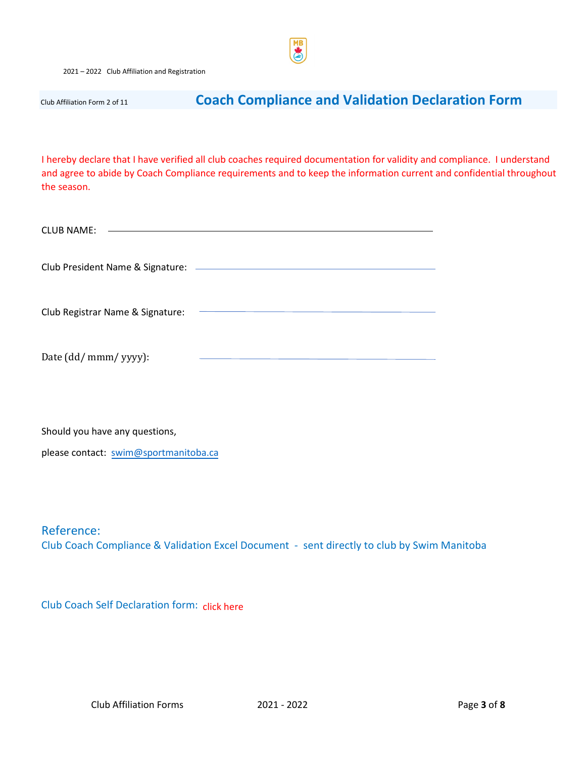2021 – 2022 Club Affiliation and Registration

## Club Affiliation Form 2 of 11 **Coach Compliance and Validation Declaration Form**

I hereby declare that I have verified all club coaches required documentation for validity and compliance. I understand and agree to abide by Coach Compliance requirements and to keep the information current and confidential throughout the season.

| <b>CLUB NAME:</b>                       |  |
|-----------------------------------------|--|
| Club President Name & Signature: ______ |  |
| Club Registrar Name & Signature:        |  |
| Date (dd/ mmm/ yyyy):                   |  |

Should you have any questions,

please contact: [swim@sportmanitoba.ca](mailto:swim@sportmanitoba.ca)

Reference: Club Coach Compliance & Validation Excel Document - sent directly to club by Swim Manitoba

Club Coach Self Declaration form: click here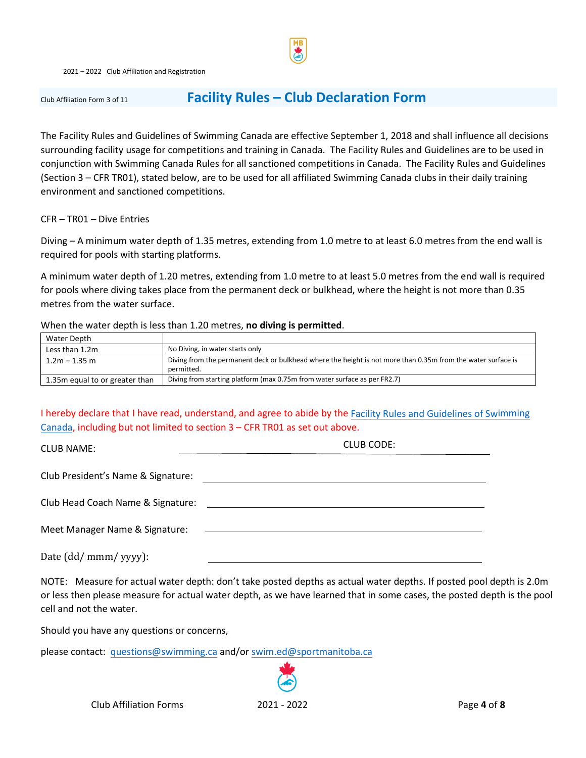

## Club Affiliation Form 3 of 11 **Facility Rules – Club Declaration Form**

The Facility Rules and Guidelines of Swimming Canada are effective September 1, 2018 and shall influence all decisions surrounding facility usage for competitions and training in Canada. The Facility Rules and Guidelines are to be used in conjunction with Swimming Canada Rules for all sanctioned competitions in Canada. The Facility Rules and Guidelines (Section 3 – CFR TR01), stated below, are to be used for all affiliated Swimming Canada clubs in their daily training environment and sanctioned competitions.

CFR – TR01 – Dive Entries

Diving – A minimum water depth of 1.35 metres, extending from 1.0 metre to at least 6.0 metres from the end wall is required for pools with starting platforms.

A minimum water depth of 1.20 metres, extending from 1.0 metre to at least 5.0 metres from the end wall is required for pools where diving takes place from the permanent deck or bulkhead, where the height is not more than 0.35 metres from the water surface.

#### When the water depth is less than 1.20 metres, **no diving is permitted**.

| Water Depth                    |                                                                                                                            |
|--------------------------------|----------------------------------------------------------------------------------------------------------------------------|
| Less than 1.2m                 | No Diving, in water starts only                                                                                            |
| $1.2m - 1.35m$                 | Diving from the permanent deck or bulkhead where the height is not more than 0.35m from the water surface is<br>permitted. |
| 1.35m equal to or greater than | Diving from starting platform (max 0.75m from water surface as per FR2.7)                                                  |

#### I hereby declare that I have read, understand, and agree to abide by the Facility [Rules and Guidelines of Swimming](https://swimming.ca/content/uploads/2018/04/FACILITY-RULES_final_20180426.pdf) [Canada,](https://swimming.ca/content/uploads/2018/04/FACILITY-RULES_final_20180426.pdf) including but not limited to section 3 – CFR TR01 as set out above.

| <b>CLUB NAME:</b>                  | CLUB CODE: |
|------------------------------------|------------|
|                                    |            |
| Club President's Name & Signature: |            |
| Club Head Coach Name & Signature:  |            |
| Meet Manager Name & Signature:     |            |
| Date (dd/ mmm/ yyyy):              |            |

NOTE: Measure for actual water depth: don't take posted depths as actual water depths. If posted pool depth is 2.0m or less then please measure for actual water depth, as we have learned that in some cases, the posted depth is the pool cell and not the water.

Should you have any questions or concerns,

please contact: [questions@swimming.ca](mailto:questions@swimming.ca) and/or [swim.ed@sportmanitoba.ca](mailto:swim.ed@sportmanitoba.ca)



Club Affiliation Forms 2021 - 2022 Page **4** of **8**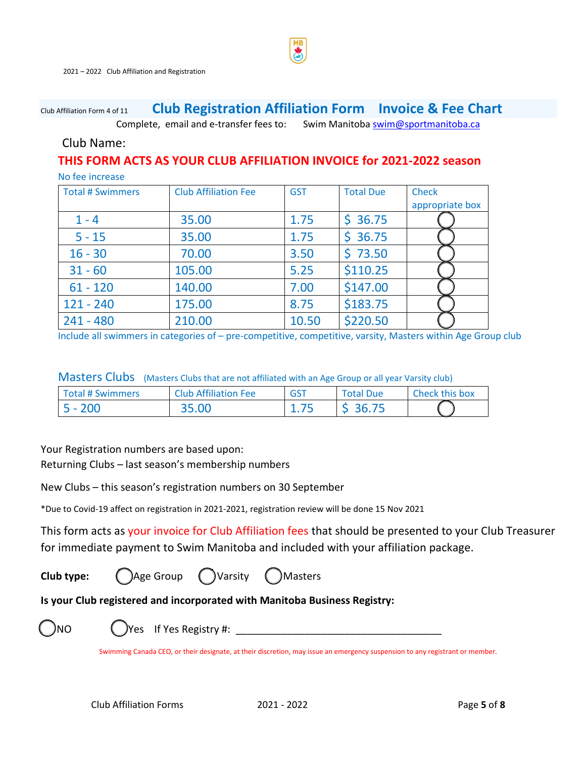## Club Affiliation Form 4 of <sup>11</sup> **Club Registration Affiliation Form Invoice & Fee Chart**

Complete, email and e-transfer fees to: Swim Manitoba swim@sportmanitoba.ca

### Club Name:

## **THIS FORM ACTS AS YOUR CLUB AFFILIATION INVOICE for 2021-2022 season**

| No fee increase         |                             |            |                  |                 |
|-------------------------|-----------------------------|------------|------------------|-----------------|
| <b>Total # Swimmers</b> | <b>Club Affiliation Fee</b> | <b>GST</b> | <b>Total Due</b> | <b>Check</b>    |
|                         |                             |            |                  | appropriate box |
| $1 - 4$                 | 35.00                       | 1.75       | \$36.75          |                 |
| $5 - 15$                | 35.00                       | 1.75       | \$36.75          |                 |
| $16 - 30$               | 70.00                       | 3.50       | \$73.50          |                 |
| $31 - 60$               | 105.00                      | 5.25       | \$110.25         |                 |
| $61 - 120$              | 140.00                      | 7.00       | \$147.00         |                 |
| $121 - 240$             | 175.00                      | 8.75       | \$183.75         |                 |
| $241 - 480$             | 210.00                      | 10.50      | \$220.50         |                 |

Include all swimmers in categories of – pre-competitive, competitive, varsity, Masters within Age Group club

Masters Clubs (Masters Clubs that are not affiliated with an Age Group or all year Varsity club)

| <b>Total # Swimmers</b> | <b>Club Affiliation Fee</b> | <b>GST</b> | <b>Total Due</b> | Check this box |
|-------------------------|-----------------------------|------------|------------------|----------------|
| $5 - 200$               | 35.00                       |            | \$36.75          |                |

Your Registration numbers are based upon:

Returning Clubs – last season's membership numbers

New Clubs – this season's registration numbers on 30 September

\*Due to Covid-19 affect on registration in 2021-2021, registration review will be done 15 Nov 2021

This form acts as your invoice for Club Affiliation fees that should be presented to your Club Treasurer for immediate payment to Swim Manitoba and included with your affiliation package.

**Club type:**  $\binom{?}{?}$ Age Group  $\binom{?}{?}$  Varsity  $\binom{?}{?}$  Masters

## **Is your Club registered and incorporated with Manitoba Business Registry:**

INO  $\left( \begin{array}{ccc} \end{array} \right)$  Yes If Yes Registry #: \_\_\_\_\_\_\_\_\_\_\_\_\_\_\_\_\_\_\_\_\_\_\_\_\_\_\_\_\_\_\_\_\_

Swimming Canada CEO, or their designate, at their discretion, may issue an emergency suspension to any registrant or member.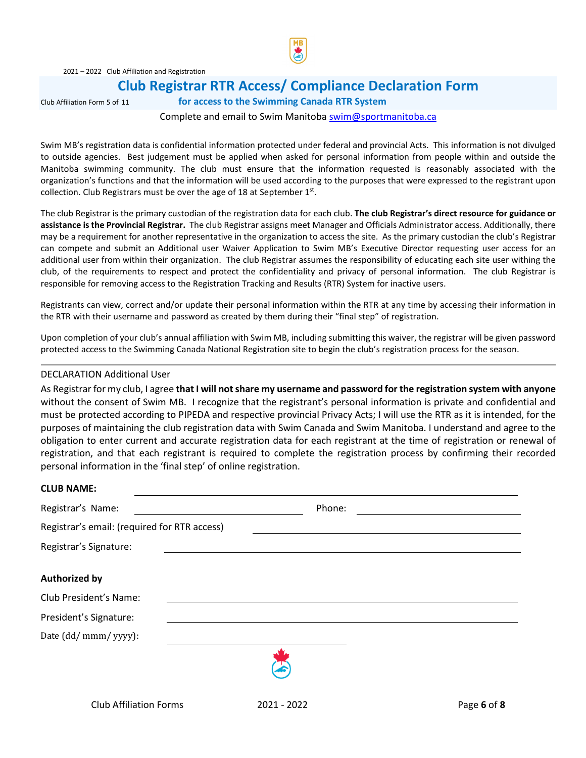

## **Club Registrar RTR Access/ Compliance Declaration Form**

Club Affiliation Form 5 of 11 **for access to the Swimming Canada RTR System**

#### Complete and email to Swim Manitoba [swim@sportmanitoba.ca](mailto:swim@sportmanitoba.ca)

Swim MB's registration data is confidential information protected under federal and provincial Acts. This information is not divulged to outside agencies. Best judgement must be applied when asked for personal information from people within and outside the Manitoba swimming community. The club must ensure that the information requested is reasonably associated with the organization's functions and that the information will be used according to the purposes that were expressed to the registrant upon collection. Club Registrars must be over the age of 18 at September  $1<sup>st</sup>$ .

The club Registrar is the primary custodian of the registration data for each club. **The club Registrar's direct resource for guidance or assistance is the Provincial Registrar.** The club Registrar assigns meet Manager and Officials Administrator access. Additionally, there may be a requirement for another representative in the organization to access the site. As the primary custodian the club's Registrar can compete and submit an Additional user Waiver Application to Swim MB's Executive Director requesting user access for an additional user from within their organization. The club Registrar assumes the responsibility of educating each site user withing the club, of the requirements to respect and protect the confidentiality and privacy of personal information. The club Registrar is responsible for removing access to the Registration Tracking and Results (RTR) System for inactive users.

Registrants can view, correct and/or update their personal information within the RTR at any time by accessing their information in the RTR with their username and password as created by them during their "final step" of registration.

Upon completion of your club's annual affiliation with Swim MB, including submitting this waiver, the registrar will be given password protected access to the Swimming Canada National Registration site to begin the club's registration process for the season.

#### DECLARATION Additional User

As Registrar for my club, I agree **that I will not share my username and password for the registration system with anyone** without the consent of Swim MB. I recognize that the registrant's personal information is private and confidential and must be protected according to PIPEDA and respective provincial Privacy Acts; I will use the RTR as it is intended, for the purposes of maintaining the club registration data with Swim Canada and Swim Manitoba. I understand and agree to the obligation to enter current and accurate registration data for each registrant at the time of registration or renewal of registration, and that each registrant is required to complete the registration process by confirming their recorded personal information in the 'final step' of online registration.

| <b>CLUB NAME:</b>                            |        |  |
|----------------------------------------------|--------|--|
| Registrar's Name:                            | Phone: |  |
| Registrar's email: (required for RTR access) |        |  |
| Registrar's Signature:                       |        |  |
| <b>Authorized by</b>                         |        |  |
| Club President's Name:                       |        |  |
| President's Signature:                       |        |  |
| Date (dd/ mmm/ yyyy):                        |        |  |
|                                              |        |  |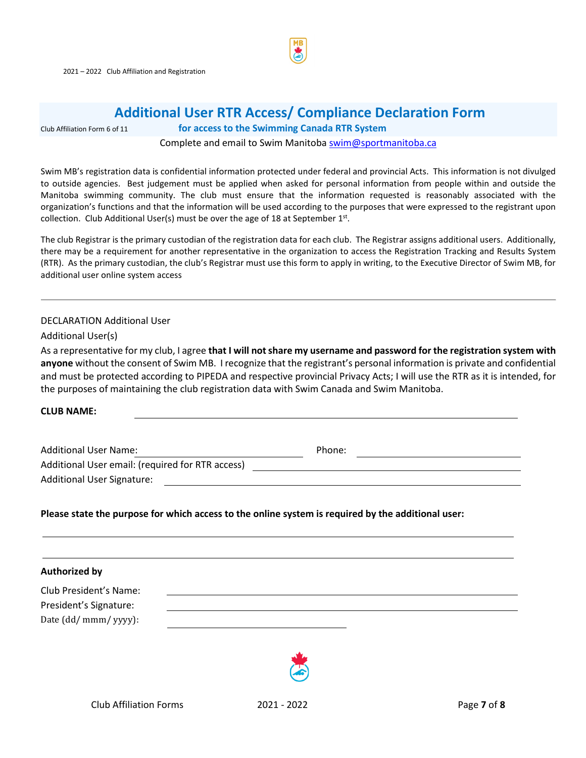

## **Additional User RTR Access/ Compliance Declaration Form**

#### Club Affiliation Form 6 of 11 **for access to the Swimming Canada RTR System**

Complete and email to Swim Manitoba [swim@sportmanitoba.ca](mailto:swim@sportmanitoba.ca) 

Swim MB's registration data is confidential information protected under federal and provincial Acts. This information is not divulged to outside agencies. Best judgement must be applied when asked for personal information from people within and outside the Manitoba swimming community. The club must ensure that the information requested is reasonably associated with the organization's functions and that the information will be used according to the purposes that were expressed to the registrant upon collection. Club Additional User(s) must be over the age of 18 at September  $1^{st}$ .

The club Registrar is the primary custodian of the registration data for each club. The Registrar assigns additional users. Additionally, there may be a requirement for another representative in the organization to access the Registration Tracking and Results System (RTR). As the primary custodian, the club's Registrar must use this form to apply in writing, to the Executive Director of Swim MB, for additional user online system access

#### DECLARATION Additional User

Additional User(s)

As a representative for my club, I agree **that I will not share my username and password for the registration system with anyone** without the consent of Swim MB. I recognize that the registrant's personal information is private and confidential and must be protected according to PIPEDA and respective provincial Privacy Acts; I will use the RTR as it is intended, for the purposes of maintaining the club registration data with Swim Canada and Swim Manitoba.

**CLUB NAME:** 

| <b>Additional User Name:</b>                     | Phone: |  |
|--------------------------------------------------|--------|--|
| Additional User email: (required for RTR access) |        |  |
| <b>Additional User Signature:</b>                |        |  |

**Please state the purpose for which access to the online system is required by the additional user:** 

| <b>Authorized by</b>   |  |
|------------------------|--|
| Club President's Name: |  |
| President's Signature: |  |
| Date (dd/ mmm/ yyyy):  |  |